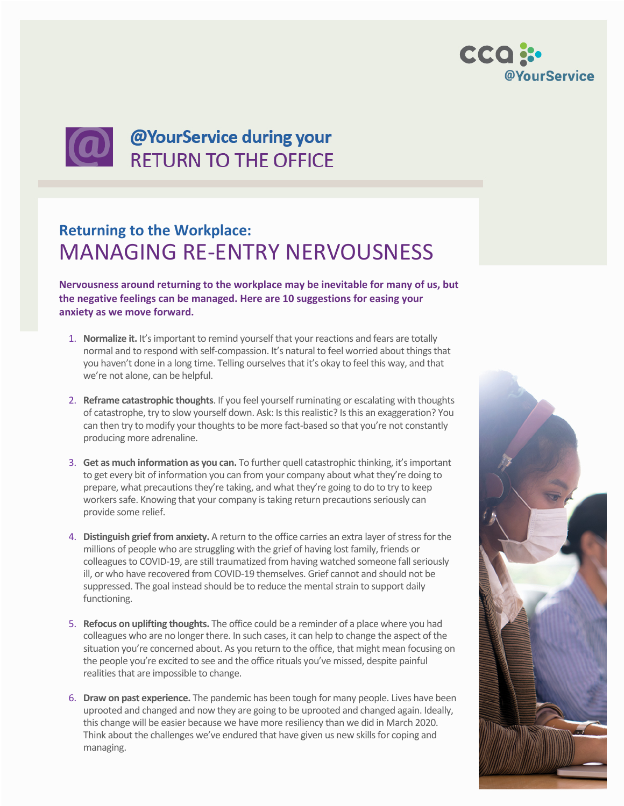



## **Returning to the Workplace:** MANAGING RE-ENTRY NERVOUSNESS

**Nervousness around returning to the workplace may be inevitable for many of us, but the negative feelings can be managed. Here are 10 suggestions for easing your anxiety as we move forward.**

- 1. **Normalize it.** It's important to remind yourself that your reactions and fears are totally normal and to respond with self-compassion. It's natural to feel worried about things that you haven't done in a long time. Telling ourselves that it's okay to feel this way, and that we're not alone, can be helpful.
- 2. **Reframe catastrophic thoughts**. If you feel yourself ruminating or escalating with thoughts of catastrophe, try to slow yourself down. Ask: Is this realistic? Is this an exaggeration? You can then try to modify your thoughts to be more fact-based so that you're not constantly producing more adrenaline.
- 3. **Get as much information as you can.** To further quell catastrophic thinking, it's important to get every bit of information you can from your company about what they're doing to prepare, what precautions they're taking, and what they're going to do to try to keep workers safe. Knowing that your company is taking return precautions seriously can provide some relief.
- 4. **Distinguish grief from anxiety.** A return to the office carries an extra layer of stress for the millions of people who are struggling with the grief of having lost family, friends or colleagues to COVID-19, are still traumatized from having watched someone fall seriously ill, or who have recovered from COVID-19 themselves. Grief cannot and should not be suppressed. The goal instead should be to reduce the mental strain to support daily functioning.
- 5. **Refocus on uplifting thoughts.** The office could be a reminder of a place where you had colleagues who are no longer there. In such cases, it can help to change the aspect of the situation you're concerned about. As you return to the office, that might mean focusing on the people you're excited to see and the office rituals you've missed, despite painful realities that are impossible to change.
- 6. **Draw on past experience.** The pandemic has been tough for many people. Lives have been uprooted and changed and now they are going to be uprooted and changed again. Ideally, this change will be easier because we have more resiliency than we did in March 2020. Think about the challenges we've endured that have given us new skills for coping and managing.